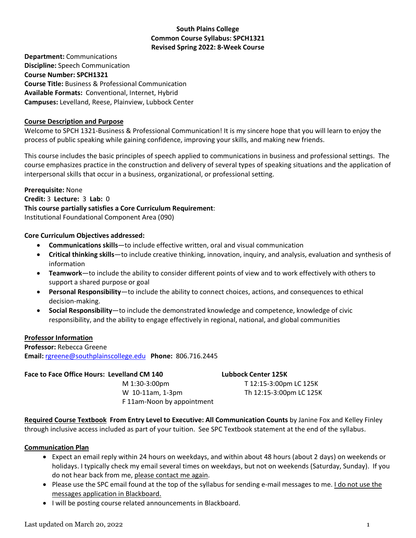## **South Plains College Common Course Syllabus: SPCH1321 Revised Spring 2022: 8-Week Course**

**Department:** Communications **Discipline:** Speech Communication **Course Number: SPCH1321 Course Title:** Business & Professional Communication **Available Formats:** Conventional, Internet, Hybrid **Campuses:** Levelland, Reese, Plainview, Lubbock Center

### **Course Description and Purpose**

Welcome to SPCH 1321-Business & Professional Communication! It is my sincere hope that you will learn to enjoy the process of public speaking while gaining confidence, improving your skills, and making new friends.

This course includes the basic principles of speech applied to communications in business and professional settings. The course emphasizes practice in the construction and delivery of several types of speaking situations and the application of interpersonal skills that occur in a business, organizational, or professional setting.

**Prerequisite:** None **Credit:** 3 **Lecture:** 3 **Lab:** 0 **This course partially satisfies a Core Curriculum Requirement**: Institutional Foundational Component Area (090)

## **Core Curriculum Objectives addressed:**

- **Communications skills**—to include effective written, oral and visual communication
- **Critical thinking skills**—to include creative thinking, innovation, inquiry, and analysis, evaluation and synthesis of information
- **Teamwork**—to include the ability to consider different points of view and to work effectively with others to support a shared purpose or goal
- **Personal Responsibility**—to include the ability to connect choices, actions, and consequences to ethical decision-making.
- **Social Responsibility**—to include the demonstrated knowledge and competence, knowledge of civic responsibility, and the ability to engage effectively in regional, national, and global communities

# **Professor Information**

**Professor:** Rebecca Greene **Email:** rgreene@southplainscollege.edu **Phone:** 806.716.2445

## **Face to Face Office Hours: Levelland CM 140 Lubbock Center 125K**

M 1:30-3:00pm T 12:15-3:00pm LC 125K W 10-11am, 1-3pm Th 12:15-3:00pm LC 125K F 11am-Noon by appointment

**Required Course Textbook From Entry Level to Executive: All Communication Counts** by Janine Fox and Kelley Finley through inclusive access included as part of your tuition. See SPC Textbook statement at the end of the syllabus.

### **Communication Plan**

- Expect an email reply within 24 hours on weekdays, and within about 48 hours (about 2 days) on weekends or holidays. I typically check my email several times on weekdays, but not on weekends (Saturday, Sunday). If you do not hear back from me, please contact me again.
- Please use the SPC email found at the top of the syllabus for sending e-mail messages to me. I do not use the messages application in Blackboard.
- I will be posting course related announcements in Blackboard.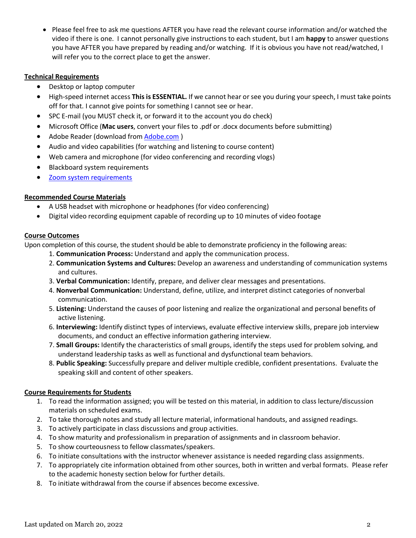• Please feel free to ask me questions AFTER you have read the relevant course information and/or watched the video if there is one. I cannot personally give instructions to each student, but I am **happy** to answer questions you have AFTER you have prepared by reading and/or watching. If it is obvious you have not read/watched, I will refer you to the correct place to get the answer.

### **Technical Requirements**

- Desktop or laptop computer
- High-speed internet access **This is ESSENTIAL.** If we cannot hear or see you during your speech, I must take points off for that. I cannot give points for something I cannot see or hear.
- SPC E-mail (you MUST check it, or forward it to the account you do check)
- Microsoft Office (**Mac users**, convert your files to .pdf or .docx documents before submitting)
- Adobe Reader (download from **Adobe.com**)
- Audio and video capabilities (for watching and listening to course content)
- Web camera and microphone (for video conferencing and recording vlogs)
- Blackboard system requirements
- [Zoom system requirements](https://support.zoom.us/hc/en-us/articles/201362023-Zoom-system-requirements-Windows-macOS-Linux)

### **Recommended Course Materials**

- A USB headset with microphone or headphones (for video conferencing)
- Digital video recording equipment capable of recording up to 10 minutes of video footage

### **Course Outcomes**

Upon completion of this course, the student should be able to demonstrate proficiency in the following areas:

- 1. **Communication Process:** Understand and apply the communication process.
- 2. **Communication Systems and Cultures:** Develop an awareness and understanding of communication systems and cultures.
- 3. **Verbal Communication:** Identify, prepare, and deliver clear messages and presentations.
- 4. **Nonverbal Communication:** Understand, define, utilize, and interpret distinct categories of nonverbal communication.
- 5. **Listening:** Understand the causes of poor listening and realize the organizational and personal benefits of active listening.
- 6. **Interviewing:** Identify distinct types of interviews, evaluate effective interview skills, prepare job interview documents, and conduct an effective information gathering interview.
- 7. **Small Groups:** Identify the characteristics of small groups, identify the steps used for problem solving, and understand leadership tasks as well as functional and dysfunctional team behaviors.
- 8. **Public Speaking:** Successfully prepare and deliver multiple credible, confident presentations. Evaluate the speaking skill and content of other speakers.

# **Course Requirements for Students**

- 1. To read the information assigned; you will be tested on this material, in addition to class lecture/discussion materials on scheduled exams.
- 2. To take thorough notes and study all lecture material, informational handouts, and assigned readings.
- 3. To actively participate in class discussions and group activities.
- 4. To show maturity and professionalism in preparation of assignments and in classroom behavior.
- 5. To show courteousness to fellow classmates/speakers.
- 6. To initiate consultations with the instructor whenever assistance is needed regarding class assignments.
- 7. To appropriately cite information obtained from other sources, both in written and verbal formats. Please refer to the academic honesty section below for further details.
- 8. To initiate withdrawal from the course if absences become excessive.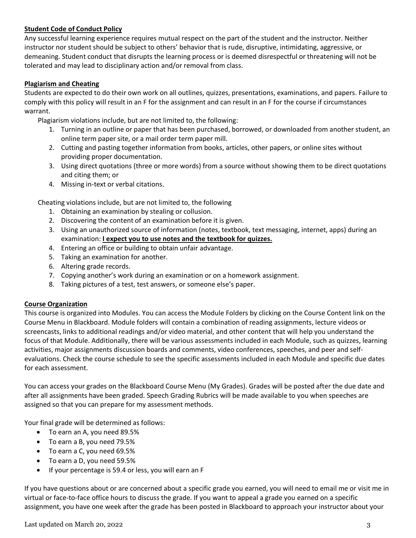# **Student Code of Conduct Policy**

Any successful learning experience requires mutual respect on the part of the student and the instructor. Neither instructor nor student should be subject to others' behavior that is rude, disruptive, intimidating, aggressive, or demeaning. Student conduct that disrupts the learning process or is deemed disrespectful or threatening will not be tolerated and may lead to disciplinary action and/or removal from class.

## **Plagiarism and Cheating**

Students are expected to do their own work on all outlines, quizzes, presentations, examinations, and papers. Failure to comply with this policy will result in an F for the assignment and can result in an F for the course if circumstances warrant.

Plagiarism violations include, but are not limited to, the following:

- 1. Turning in an outline or paper that has been purchased, borrowed, or downloaded from another student, an online term paper site, or a mail order term paper mill.
- 2. Cutting and pasting together information from books, articles, other papers, or online sites without providing proper documentation.
- 3. Using direct quotations (three or more words) from a source without showing them to be direct quotations and citing them; or
- 4. Missing in-text or verbal citations.

Cheating violations include, but are not limited to, the following

- 1. Obtaining an examination by stealing or collusion.
- 2. Discovering the content of an examination before it is given.
- 3. Using an unauthorized source of information (notes, textbook, text messaging, internet, apps) during an examination: **I expect you to use notes and the textbook for quizzes.**
- 4. Entering an office or building to obtain unfair advantage.
- 5. Taking an examination for another.
- 6. Altering grade records.
- 7. Copying another's work during an examination or on a homework assignment.
- 8. Taking pictures of a test, test answers, or someone else's paper.

### **Course Organization**

This course is organized into Modules. You can access the Module Folders by clicking on the Course Content link on the Course Menu in Blackboard. Module folders will contain a combination of reading assignments, lecture videos or screencasts, links to additional readings and/or video material, and other content that will help you understand the focus of that Module. Additionally, there will be various assessments included in each Module, such as quizzes, learning activities, major assignments discussion boards and comments, video conferences, speeches, and peer and selfevaluations. Check the course schedule to see the specific assessments included in each Module and specific due dates for each assessment.

You can access your grades on the Blackboard Course Menu (My Grades). Grades will be posted after the due date and after all assignments have been graded. Speech Grading Rubrics will be made available to you when speeches are assigned so that you can prepare for my assessment methods.

Your final grade will be determined as follows:

- To earn an A, you need 89.5%
- To earn a B, you need 79.5%
- To earn a C, you need 69.5%
- To earn a D, you need 59.5%
- If your percentage is 59.4 or less, you will earn an F

If you have questions about or are concerned about a specific grade you earned, you will need to email me or visit me in virtual or face-to-face office hours to discuss the grade. If you want to appeal a grade you earned on a specific assignment, you have one week after the grade has been posted in Blackboard to approach your instructor about your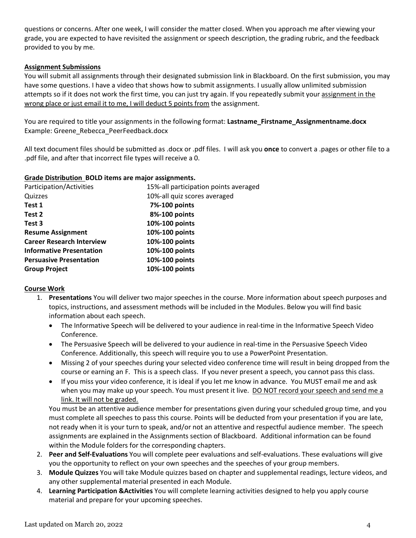questions or concerns. After one week, I will consider the matter closed. When you approach me after viewing your grade, you are expected to have revisited the assignment or speech description, the grading rubric, and the feedback provided to you by me.

### **Assignment Submissions**

You will submit all assignments through their designated submission link in Blackboard. On the first submission, you may have some questions. I have a video that shows how to submit assignments. I usually allow unlimited submission attempts so if it does not work the first time, you can just try again. If you repeatedly submit your assignment in the wrong place or just email it to me, I will deduct 5 points from the assignment.

You are required to title your assignments in the following format: **Lastname\_Firstname\_Assignmentname.docx**  Example: Greene\_Rebecca\_PeerFeedback.docx

All text document files should be submitted as .docx or .pdf files. I will ask you **once** to convert a .pages or other file to a .pdf file, and after that incorrect file types will receive a 0.

### **Grade Distribution BOLD items are major assignments.**

| Participation/Activities         | 15%-all participation points averaged |
|----------------------------------|---------------------------------------|
| Quizzes                          | 10%-all quiz scores averaged          |
| Test 1                           | 7%-100 points                         |
| Test 2                           | 8%-100 points                         |
| Test 3                           | 10%-100 points                        |
| <b>Resume Assignment</b>         | 10%-100 points                        |
| <b>Career Research Interview</b> | 10%-100 points                        |
| <b>Informative Presentation</b>  | 10%-100 points                        |
| <b>Persuasive Presentation</b>   | 10%-100 points                        |
| <b>Group Project</b>             | 10%-100 points                        |

### **Course Work**

- 1. **Presentations** You will deliver two major speeches in the course. More information about speech purposes and topics, instructions, and assessment methods will be included in the Modules. Below you will find basic information about each speech.
	- The Informative Speech will be delivered to your audience in real-time in the Informative Speech Video Conference.
	- The Persuasive Speech will be delivered to your audience in real-time in the Persuasive Speech Video Conference. Additionally, this speech will require you to use a PowerPoint Presentation.
	- Missing 2 of your speeches during your selected video conference time will result in being dropped from the course or earning an F. This is a speech class. If you never present a speech, you cannot pass this class.
	- If you miss your video conference, it is ideal if you let me know in advance. You MUST email me and ask when you may make up your speech. You must present it live. DO NOT record your speech and send me a link. It will not be graded.

You must be an attentive audience member for presentations given during your scheduled group time, and you must complete all speeches to pass this course. Points will be deducted from your presentation if you are late, not ready when it is your turn to speak, and/or not an attentive and respectful audience member. The speech assignments are explained in the Assignments section of Blackboard. Additional information can be found within the Module folders for the corresponding chapters.

- 2. **Peer and Self-Evaluations** You will complete peer evaluations and self-evaluations. These evaluations will give you the opportunity to reflect on your own speeches and the speeches of your group members.
- 3. **Module Quizzes** You will take Module quizzes based on chapter and supplemental readings, lecture videos, and any other supplemental material presented in each Module.
- 4. **Learning Participation &Activities** You will complete learning activities designed to help you apply course material and prepare for your upcoming speeches.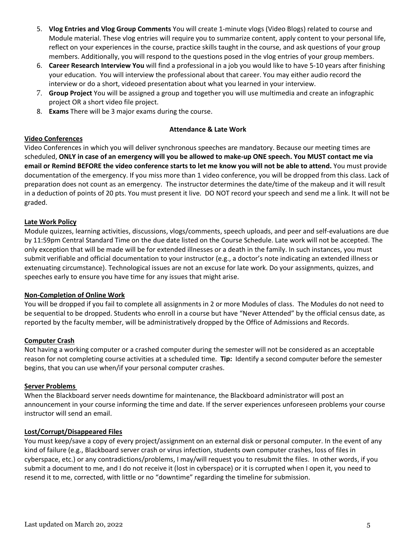- 5. **Vlog Entries and Vlog Group Comments** You will create 1-minute vlogs (Video Blogs) related to course and Module material. These vlog entries will require you to summarize content, apply content to your personal life, reflect on your experiences in the course, practice skills taught in the course, and ask questions of your group members. Additionally, you will respond to the questions posed in the vlog entries of your group members.
- 6. **Career Research Interview You** will find a professional in a job you would like to have 5-10 years after finishing your education. You will interview the professional about that career. You may either audio record the interview or do a short, videoed presentation about what you learned in your interview.
- 7. **Group Project** You will be assigned a group and together you will use multimedia and create an infographic project OR a short video file project.
- 8. **Exams** There will be 3 major exams during the course.

#### **Attendance & Late Work**

## **Video Conferences**

Video Conferences in which you will deliver synchronous speeches are mandatory. Because our meeting times are scheduled, **ONLY in case of an emergency will you be allowed to make-up ONE speech. You MUST contact me via email or Remind BEFORE the video conference starts to let me know you will not be able to attend.** You must provide documentation of the emergency. If you miss more than 1 video conference, you will be dropped from this class. Lack of preparation does not count as an emergency. The instructor determines the date/time of the makeup and it will result in a deduction of points of 20 pts. You must present it live. DO NOT record your speech and send me a link. It will not be graded.

## **Late Work Policy**

Module quizzes, learning activities, discussions, vlogs/comments, speech uploads, and peer and self-evaluations are due by 11:59pm Central Standard Time on the due date listed on the Course Schedule. Late work will not be accepted. The only exception that will be made will be for extended illnesses or a death in the family. In such instances, you must submit verifiable and official documentation to your instructor (e.g., a doctor's note indicating an extended illness or extenuating circumstance). Technological issues are not an excuse for late work. Do your assignments, quizzes, and speeches early to ensure you have time for any issues that might arise.

### **Non-Completion of Online Work**

You will be dropped if you fail to complete all assignments in 2 or more Modules of class. The Modules do not need to be sequential to be dropped. Students who enroll in a course but have "Never Attended" by the official census date, as reported by the faculty member, will be administratively dropped by the Office of Admissions and Records.

### **Computer Crash**

Not having a working computer or a crashed computer during the semester will not be considered as an acceptable reason for not completing course activities at a scheduled time. **Tip:** Identify a second computer before the semester begins, that you can use when/if your personal computer crashes.

### **Server Problems**

When the Blackboard server needs downtime for maintenance, the Blackboard administrator will post an announcement in your course informing the time and date. If the server experiences unforeseen problems your course instructor will send an email.

### **Lost/Corrupt/Disappeared Files**

You must keep/save a copy of every project/assignment on an external disk or personal computer. In the event of any kind of failure (e.g., Blackboard server crash or virus infection, students own computer crashes, loss of files in cyberspace, etc.) or any contradictions/problems, I may/will request you to resubmit the files. In other words, if you submit a document to me, and I do not receive it (lost in cyberspace) or it is corrupted when I open it, you need to resend it to me, corrected, with little or no "downtime" regarding the timeline for submission.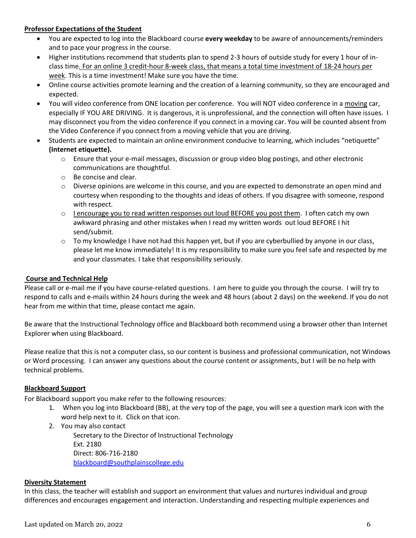### **Professor Expectations of the Student**

- You are expected to log into the Blackboard course **every weekday** to be aware of announcements/reminders and to pace your progress in the course.
- Higher institutions recommend that students plan to spend 2-3 hours of outside study for every 1 hour of inclass time. For an online 3 credit-hour 8-week class, that means a total time investment of 18-24 hours per week. This is a time investment! Make sure you have the time.
- Online course activities promote learning and the creation of a learning community, so they are encouraged and expected.
- You will video conference from ONE location per conference. You will NOT video conference in a moving car, especially IF YOU ARE DRIVING. It is dangerous, it is unprofessional, and the connection will often have issues. I may disconnect you from the video conference if you connect in a moving car. You will be counted absent from the Video Conference if you connect from a moving vehicle that you are driving.
- Students are expected to maintain an online environment conducive to learning, which includes "netiquette" **(Internet etiquette).**
	- $\circ$  Ensure that your e-mail messages, discussion or group video blog postings, and other electronic communications are thoughtful.
	- o Be concise and clear.
	- o Diverse opinions are welcome in this course, and you are expected to demonstrate an open mind and courtesy when responding to the thoughts and ideas of others. If you disagree with someone, respond with respect.
	- $\circ$  I encourage you to read written responses out loud BEFORE you post them. I often catch my own awkward phrasing and other mistakes when I read my written words out loud BEFORE I hit send/submit.
	- $\circ$  To my knowledge I have not had this happen yet, but if you are cyberbullied by anyone in our class, please let me know immediately! It is my responsibility to make sure you feel safe and respected by me and your classmates. I take that responsibility seriously.

# **Course and Technical Help**

Please call or e-mail me if you have course-related questions. I am here to guide you through the course. I will try to respond to calls and e-mails within 24 hours during the week and 48 hours (about 2 days) on the weekend. If you do not hear from me within that time, please contact me again.

Be aware that the Instructional Technology office and Blackboard both recommend using a browser other than Internet Explorer when using Blackboard.

Please realize that this is not a computer class, so our content is business and professional communication, not Windows or Word processing. I can answer any questions about the course content or assignments, but I will be no help with technical problems.

# **Blackboard Support**

For Blackboard support you make refer to the following resources:

- 1. When you log into Blackboard (BB), at the very top of the page, you will see a question mark icon with the word help next to it. Click on that icon.
- 2. You may also contact

Secretary to the Director of Instructional Technology Ext. 2180 Direct: 806-716-2180 [blackboard@southplainscollege.edu](mailto:jetucker@southplainscollege.edu)

### **Diversity Statement**

In this class, the teacher will establish and support an environment that values and nurtures individual and group differences and encourages engagement and interaction. Understanding and respecting multiple experiences and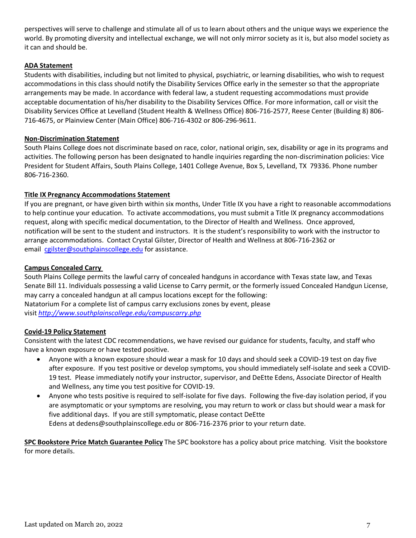perspectives will serve to challenge and stimulate all of us to learn about others and the unique ways we experience the world. By promoting diversity and intellectual exchange, we will not only mirror society as it is, but also model society as it can and should be.

## **ADA Statement**

Students with disabilities, including but not limited to physical, psychiatric, or learning disabilities, who wish to request accommodations in this class should notify the Disability Services Office early in the semester so that the appropriate arrangements may be made. In accordance with federal law, a student requesting accommodations must provide acceptable documentation of his/her disability to the Disability Services Office. For more information, call or visit the Disability Services Office at Levelland (Student Health & Wellness Office) 806-716-2577, Reese Center (Building 8) 806- 716-4675, or Plainview Center (Main Office) 806-716-4302 or 806-296-9611.

### **Non-Discrimination Statement**

South Plains College does not discriminate based on race, color, national origin, sex, disability or age in its programs and activities. The following person has been designated to handle inquiries regarding the non-discrimination policies: Vice President for Student Affairs, South Plains College, 1401 College Avenue, Box 5, Levelland, TX 79336. Phone number 806-716-2360.

## **Title IX Pregnancy Accommodations Statement**

If you are pregnant, or have given birth within six months, Under Title IX you have a right to reasonable accommodations to help continue your education. To activate accommodations, you must submit a Title IX pregnancy accommodations request, along with specific medical documentation, to the Director of Health and Wellness. Once approved, notification will be sent to the student and instructors. It is the student's responsibility to work with the instructor to arrange accommodations. Contact Crystal Gilster, Director of Health and Wellness at 806-716-2362 or email [cgilster@southplainscollege.edu](mailto:cgilster@southplainscollege.edu) for assistance.

### **Campus Concealed Carry**

South Plains College permits the lawful carry of concealed handguns in accordance with Texas state law, and Texas Senate Bill 11. Individuals possessing a valid License to Carry permit, or the formerly issued Concealed Handgun License, may carry a concealed handgun at all campus locations except for the following: Natatorium For a complete list of campus carry exclusions zones by event, please visit *<http://www.southplainscollege.edu/campuscarry.php>*

### **Covid-19 Policy Statement**

Consistent with the latest CDC recommendations, we have revised our guidance for students, faculty, and staff who have a known exposure or have tested positive.

- Anyone with a known exposure should wear a mask for 10 days and should seek a COVID-19 test on day five after exposure. If you test positive or develop symptoms, you should immediately self-isolate and seek a COVID-19 test. Please immediately notify your instructor, supervisor, and DeEtte Edens, Associate Director of Health and Wellness, any time you test positive for COVID-19.
- Anyone who tests positive is required to self-isolate for five days. Following the five-day isolation period, if you are asymptomatic or your symptoms are resolving, you may return to work or class but should wear a mask for five additional days. If you are still symptomatic, please contact DeEtte Edens at [dedens@southplainscollege.edu](mailto:dedens@southplainscollege.edu) or 806-716-2376 prior to your return date.

**SPC Bookstore Price Match Guarantee Policy** The SPC bookstore has a policy about price matching. Visit the bookstore for more details.